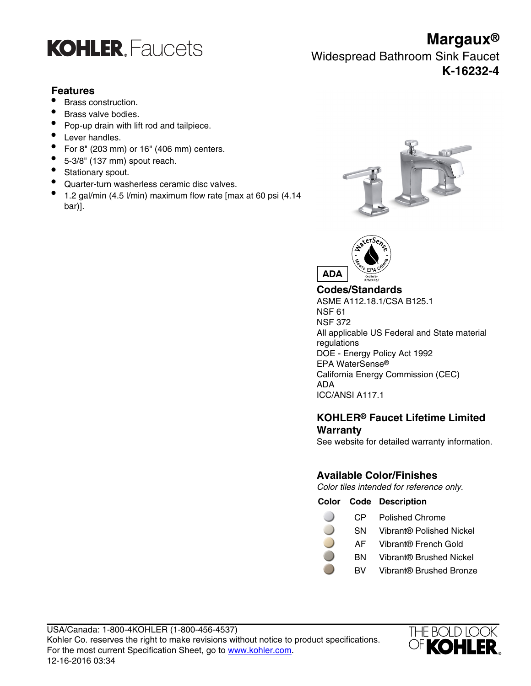

# **Features**

- Brass construction.
- Brass valve bodies.
- Pop-up drain with lift rod and tailpiece.
- Lever handles.
- For 8" (203 mm) or 16" (406 mm) centers.
- $\bullet$  5-3/8" (137 mm) spout reach.
- Stationary spout.
- Quarter-turn washerless ceramic disc valves.
- 1.2 gal/min (4.5 l/min) maximum flow rate [max at 60 psi (4.14 bar)].





**Codes/Standards** ASME A112.18.1/CSA B125.1 NSF 61 NSF 372 All applicable US Federal and State material regulations DOE - Energy Policy Act 1992 EPA WaterSense® California Energy Commission (CEC) ADA ICC/ANSI A117.1

# **KOHLER® Faucet Lifetime Limited Warranty**

See website for detailed warranty information.

# **Available Color/Finishes**

Color tiles intended for reference only.

|      | <b>Color Code Description</b> |
|------|-------------------------------|
| CP — | <b>Polished Chrome</b>        |

- SN Vibrant® Polished Nickel
- AF Vibrant® French Gold
- BN Vibrant® Brushed Nickel
- BV Vibrant® Brushed Bronze



**Margaux®**

Widespread Bathroom Sink Faucet **K-16232-4**